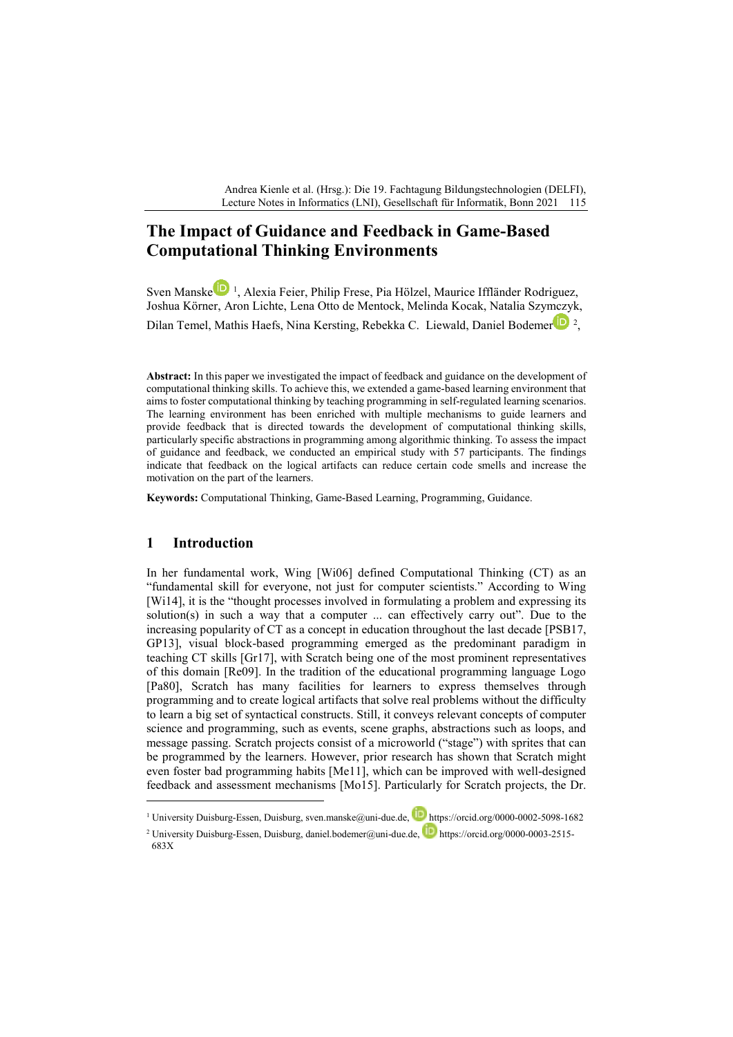Andrea Kienle et al. (Hrsg.): Die 19. Fachtagung Bildungstechnologien (DELFI), Lecture Notes in Informatics (LNI), Gesellschaft für Informatik, Bonn 2021 115

# **The Impact of Guidance and Feedback in Game-Based Computational Thinking Environments**

Sven Manske [1](#page-0-0) , Alexia Feier, Philip Frese, Pia Hölzel, Maurice Iffländer Rodriguez, Joshua Körner, Aron Lichte, Lena Otto de Mentock, Melinda Kocak, Natalia Szymczyk, Dilan Temel, Mathis Haefs, Nina Kersting, Rebekka C. Liewald, Daniel Bodemer<sup>19</sup>,

**Abstract:** In this paper we investigated the impact of feedback and guidance on the development of computational thinking skills. To achieve this, we extended a game-based learning environment that aims to foster computational thinking by teaching programming in self-regulated learning scenarios. The learning environment has been enriched with multiple mechanisms to guide learners and provide feedback that is directed towards the development of computational thinking skills, particularly specific abstractions in programming among algorithmic thinking. To assess the impact of guidance and feedback, we conducted an empirical study with 57 participants. The findings indicate that feedback on the logical artifacts can reduce certain code smells and increase the motivation on the part of the learners.

**Keywords:** Computational Thinking, Game-Based Learning, Programming, Guidance.

#### **1 Introduction**

 $\overline{a}$ 

In her fundamental work, Wing [Wi06] defined Computational Thinking (CT) as an "fundamental skill for everyone, not just for computer scientists." According to Wing [Wi14], it is the "thought processes involved in formulating a problem and expressing its solution(s) in such a way that a computer ... can effectively carry out". Due to the increasing popularity of CT as a concept in education throughout the last decade [PSB17, GP13], visual block-based programming emerged as the predominant paradigm in teaching CT skills [Gr17], with Scratch being one of the most prominent representatives of this domain [Re09]. In the tradition of the educational programming language Logo [Pa80], Scratch has many facilities for learners to express themselves through programming and to create logical artifacts that solve real problems without the difficulty to learn a big set of syntactical constructs. Still, it conveys relevant concepts of computer science and programming, such as events, scene graphs, abstractions such as loops, and message passing. Scratch projects consist of a microworld ("stage") with sprites that can be programmed by the learners. However, prior research has shown that Scratch might even foster bad programming habits [Me11], which can be improved with well-designed feedback and assessment mechanisms [Mo15]. Particularly for Scratch projects, the Dr.

<sup>&</sup>lt;sup>1</sup> University Duisburg-Essen, Duisburg, sven.manske@uni-due.de, **https://orcid.org/0000-0002-5098-1682** 

<span id="page-0-1"></span><span id="page-0-0"></span><sup>&</sup>lt;sup>2</sup>University Duisburg-Essen, Duisburg, daniel.bodemer@uni-due.de, **https://orcid.org/0000-0003-2515-**683X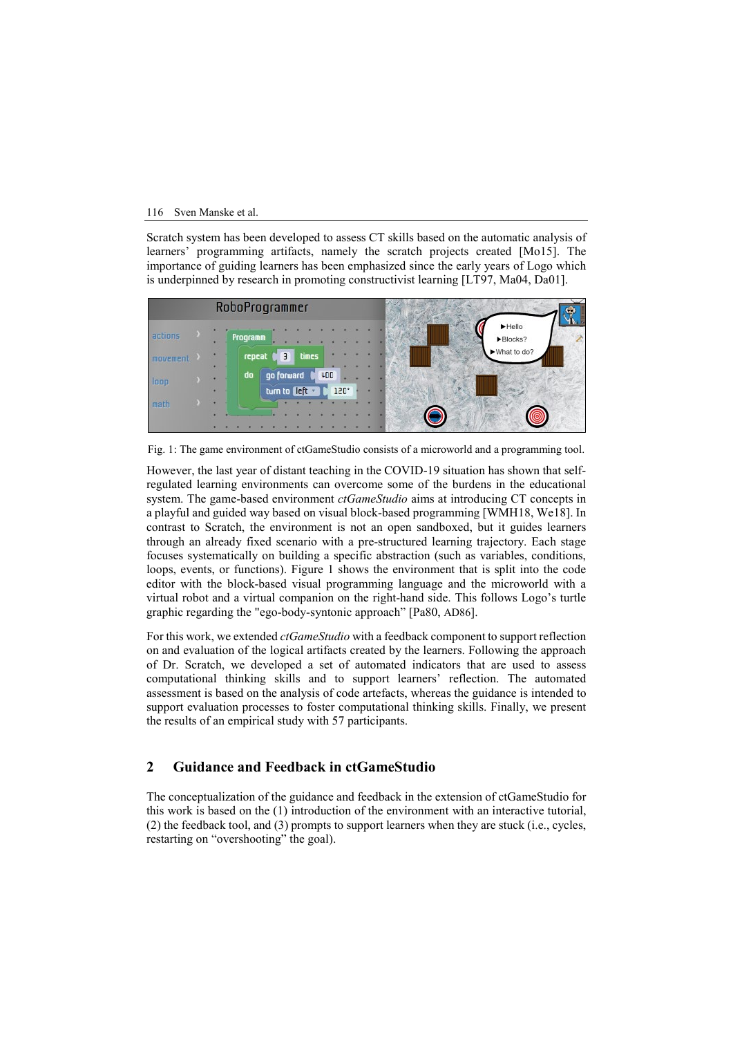#### 116 Sven Manske et al.

Scratch system has been developed to assess CT skills based on the automatic analysis of learners' programming artifacts, namely the scratch projects created [Mo15]. The importance of guiding learners has been emphasized since the early years of Logo which is underpinned by research in promoting constructivist learning [LT97, Ma04, Da01].



Fig. 1: The game environment of ctGameStudio consists of a microworld and a programming tool.

However, the last year of distant teaching in the COVID-19 situation has shown that selfregulated learning environments can overcome some of the burdens in the educational system. The game-based environment *ctGameStudio* aims at introducing CT concepts in a playful and guided way based on visual block-based programming [WMH18, We18]. In contrast to Scratch, the environment is not an open sandboxed, but it guides learners through an already fixed scenario with a pre-structured learning trajectory. Each stage focuses systematically on building a specific abstraction (such as variables, conditions, loops, events, or functions). Figure 1 shows the environment that is split into the code editor with the block-based visual programming language and the microworld with a virtual robot and a virtual companion on the right-hand side. This follows Logo's turtle graphic regarding the "ego-body-syntonic approach" [Pa80, AD86].

For this work, we extended *ctGameStudio* with a feedback component to support reflection on and evaluation of the logical artifacts created by the learners. Following the approach of Dr. Scratch, we developed a set of automated indicators that are used to assess computational thinking skills and to support learners' reflection. The automated assessment is based on the analysis of code artefacts, whereas the guidance is intended to support evaluation processes to foster computational thinking skills. Finally, we present the results of an empirical study with 57 participants.

### **2 Guidance and Feedback in ctGameStudio**

The conceptualization of the guidance and feedback in the extension of ctGameStudio for this work is based on the (1) introduction of the environment with an interactive tutorial, (2) the feedback tool, and (3) prompts to support learners when they are stuck (i.e., cycles, restarting on "overshooting" the goal).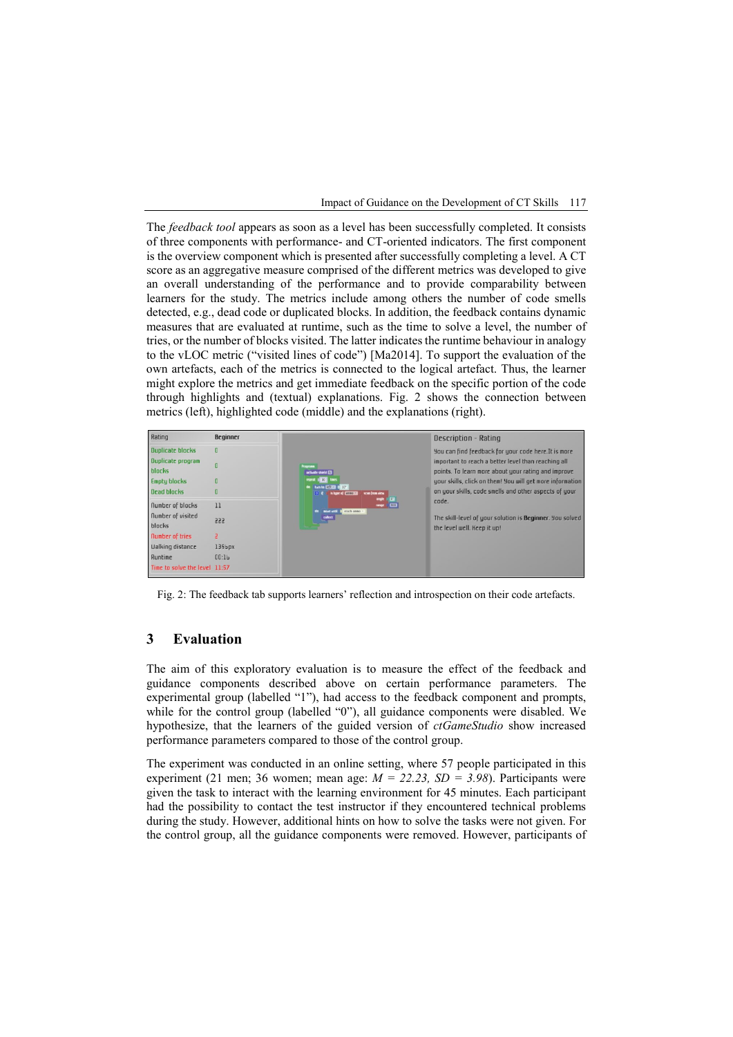Impact of Guidance on the Development of CT Skills 117

The *feedback tool* appears as soon as a level has been successfully completed. It consists of three components with performance- and CT-oriented indicators. The first component is the overview component which is presented after successfully completing a level. A CT score as an aggregative measure comprised of the different metrics was developed to give an overall understanding of the performance and to provide comparability between learners for the study. The metrics include among others the number of code smells detected, e.g., dead code or duplicated blocks. In addition, the feedback contains dynamic measures that are evaluated at runtime, such as the time to solve a level, the number of tries, or the number of blocks visited. The latter indicates the runtime behaviour in analogy to the vLOC metric ("visited lines of code") [Ma2014]. To support the evaluation of the own artefacts, each of the metrics is connected to the logical artefact. Thus, the learner might explore the metrics and get immediate feedback on the specific portion of the code through highlights and (textual) explanations. Fig. 2 shows the connection between metrics (left), highlighted code (middle) and the explanations (right).



Fig. 2: The feedback tab supports learners' reflection and introspection on their code artefacts.

## **3 Evaluation**

The aim of this exploratory evaluation is to measure the effect of the feedback and guidance components described above on certain performance parameters. The experimental group (labelled "1"), had access to the feedback component and prompts, while for the control group (labelled "0"), all guidance components were disabled. We hypothesize, that the learners of the guided version of *ctGameStudio* show increased performance parameters compared to those of the control group.

The experiment was conducted in an online setting, where 57 people participated in this experiment (21 men; 36 women; mean age: *M = 22.23, SD = 3.98*). Participants were given the task to interact with the learning environment for 45 minutes. Each participant had the possibility to contact the test instructor if they encountered technical problems during the study. However, additional hints on how to solve the tasks were not given. For the control group, all the guidance components were removed. However, participants of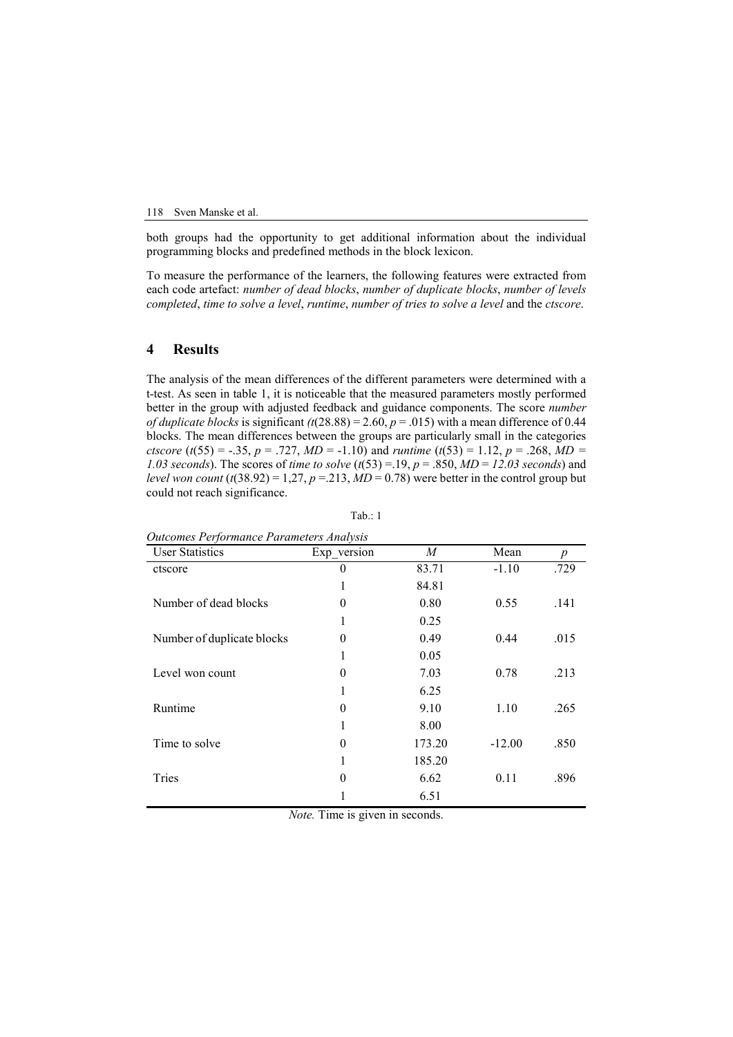#### 118 Sven Manske et al.

both groups had the opportunity to get additional information about the individual programming blocks and predefined methods in the block lexicon.

To measure the performance of the learners, the following features were extracted from each code artefact: *number of dead blocks*, *number of duplicate blocks*, *number of levels completed*, *time to solve a level*, *runtime*, *number of tries to solve a level* and the *ctscore*.

#### **4 Results**

The analysis of the mean differences of the different parameters were determined with a t-test. As seen in table 1, it is noticeable that the measured parameters mostly performed better in the group with adjusted feedback and guidance components. The score *number of duplicate blocks* is significant  $(t(28.88) = 2.60, p = .015)$  with a mean difference of 0.44 blocks. The mean differences between the groups are particularly small in the categories *ctscore* ( $t(55) = -.35$ ,  $p = .727$ ,  $MD = -1.10$ ) and *runtime* ( $t(53) = 1.12$ ,  $p = .268$ ,  $MD =$ *1.03 seconds*). The scores of *time to solve* (*t*(53) =.19, *p* = .850, *MD* = *12.03 seconds*) and *level won count*  $(t(38.92) = 1,27, p = 0.213, MD = 0.78)$  were better in the control group but could not reach significance.

| <b>User Statistics</b>     | Exp version | M      | Mean     | $\boldsymbol{p}$ |
|----------------------------|-------------|--------|----------|------------------|
| ctscore                    | $\theta$    | 83.71  | $-1.10$  | .729             |
|                            | 1           | 84.81  |          |                  |
| Number of dead blocks      | 0           | 0.80   | 0.55     | .141             |
|                            | 1           | 0.25   |          |                  |
| Number of duplicate blocks | 0           | 0.49   | 0.44     | .015             |
|                            | 1           | 0.05   |          |                  |
| Level won count            | $\theta$    | 7.03   | 0.78     | .213             |
|                            | 1           | 6.25   |          |                  |
| Runtime                    | 0           | 9.10   | 1.10     | .265             |
|                            | 1           | 8.00   |          |                  |
| Time to solve              | $\theta$    | 173.20 | $-12.00$ | .850             |
|                            | 1           | 185.20 |          |                  |
| Tries                      | $\theta$    | 6.62   | 0.11     | .896             |
|                            |             | 6.51   |          |                  |

Tab.: 1

| Outcomes Performance Parameters Analysis |  |
|------------------------------------------|--|
|                                          |  |

*Note.* Time is given in seconds.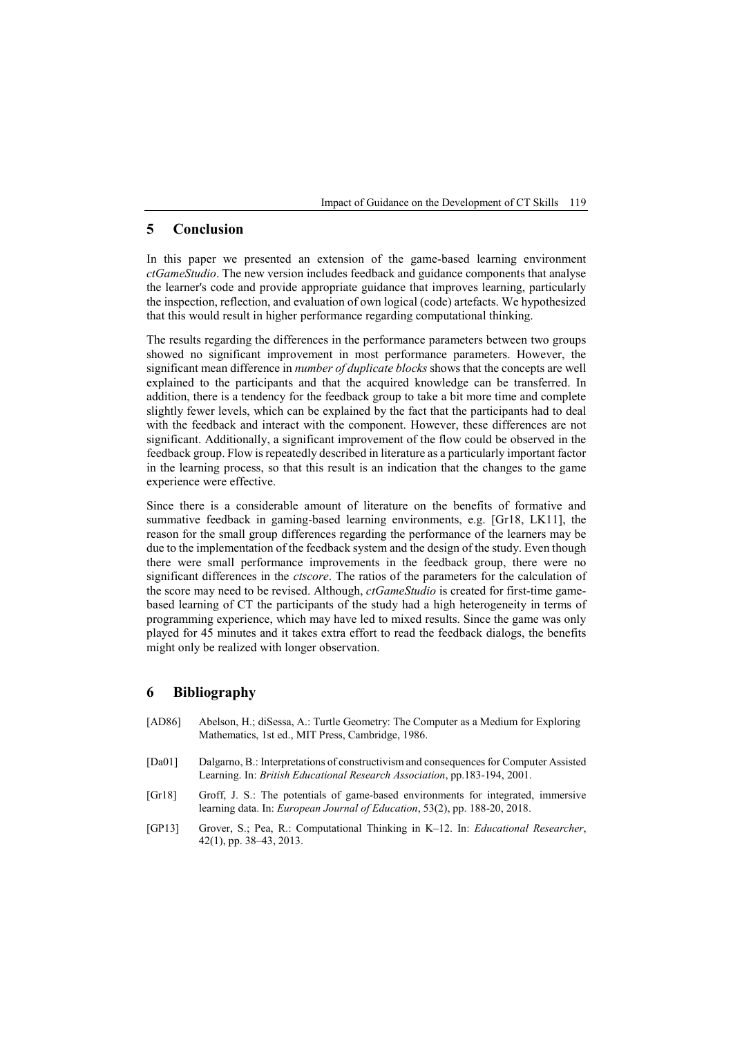Impact of Guidance on the Development of CT Skills 119

### **5 Conclusion**

In this paper we presented an extension of the game-based learning environment *ctGameStudio*. The new version includes feedback and guidance components that analyse the learner's code and provide appropriate guidance that improves learning, particularly the inspection, reflection, and evaluation of own logical (code) artefacts. We hypothesized that this would result in higher performance regarding computational thinking.

The results regarding the differences in the performance parameters between two groups showed no significant improvement in most performance parameters. However, the significant mean difference in *number of duplicate blocks* shows that the concepts are well explained to the participants and that the acquired knowledge can be transferred. In addition, there is a tendency for the feedback group to take a bit more time and complete slightly fewer levels, which can be explained by the fact that the participants had to deal with the feedback and interact with the component. However, these differences are not significant. Additionally, a significant improvement of the flow could be observed in the feedback group. Flow is repeatedly described in literature as a particularly important factor in the learning process, so that this result is an indication that the changes to the game experience were effective.

Since there is a considerable amount of literature on the benefits of formative and summative feedback in gaming-based learning environments, e.g. [Gr18, LK11], the reason for the small group differences regarding the performance of the learners may be due to the implementation of the feedback system and the design of the study. Even though there were small performance improvements in the feedback group, there were no significant differences in the *ctscore*. The ratios of the parameters for the calculation of the score may need to be revised. Although, *ctGameStudio* is created for first-time gamebased learning of CT the participants of the study had a high heterogeneity in terms of programming experience, which may have led to mixed results. Since the game was only played for 45 minutes and it takes extra effort to read the feedback dialogs, the benefits might only be realized with longer observation.

## **6 Bibliography**

- [AD86] Abelson, H.; diSessa, A.: Turtle Geometry: The Computer as a Medium for Exploring Mathematics, 1st ed., MIT Press, Cambridge, 1986.
- [Da01] Dalgarno, B.: Interpretations of constructivism and consequences for Computer Assisted Learning. In: *British Educational Research Association*, pp.183-194, 2001.
- [Gr18] Groff, J. S.: The potentials of game-based environments for integrated, immersive learning data. In: *European Journal of Education*, 53(2), pp. 188-20, 2018.
- [GP13] Grover, S.; Pea, R.: Computational Thinking in K–12. In: *Educational Researcher*, 42(1), pp. 38–43, 2013.